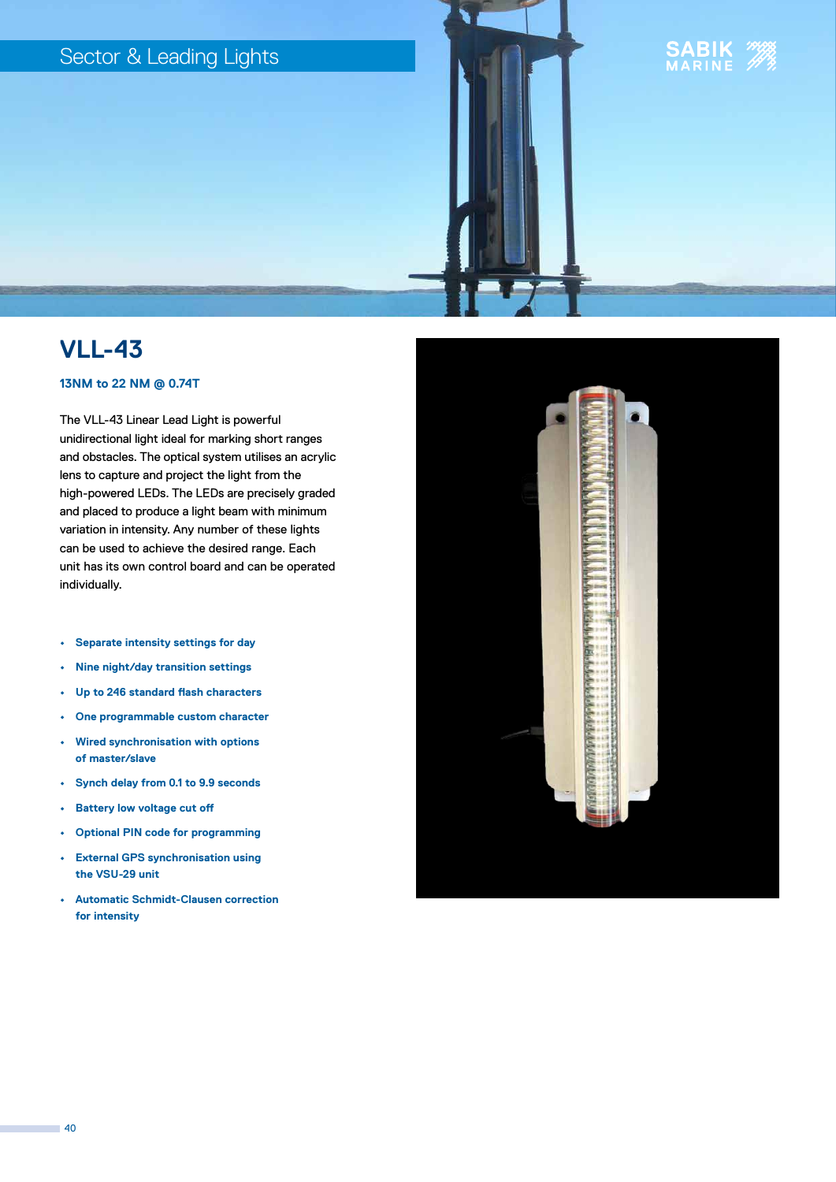# Sector & Leading Lights



# **VLL-43**

## **13NM to 22 NM @ 0.74T**

The VLL-43 Linear Lead Light is powerful unidirectional light ideal for marking short ranges and obstacles. The optical system utilises an acrylic lens to capture and project the light from the high-powered LEDs. The LEDs are precisely graded and placed to produce a light beam with minimum variation in intensity. Any number of these lights can be used to achieve the desired range. Each unit has its own control board and can be operated individually.

- **• Separate intensity settings for day**
- **• Nine night/day transition settings**
- **• Up to 246 standard flash characters**
- **• One programmable custom character**
- **• Wired synchronisation with options of master/slave**
- **• Synch delay from 0.1 to 9.9 seconds**
- **• Battery low voltage cut off**
- **• Optional PIN code for programming**
- **• External GPS synchronisation using the VSU-29 unit**
- **• Automatic Schmidt-Clausen correction for intensity**